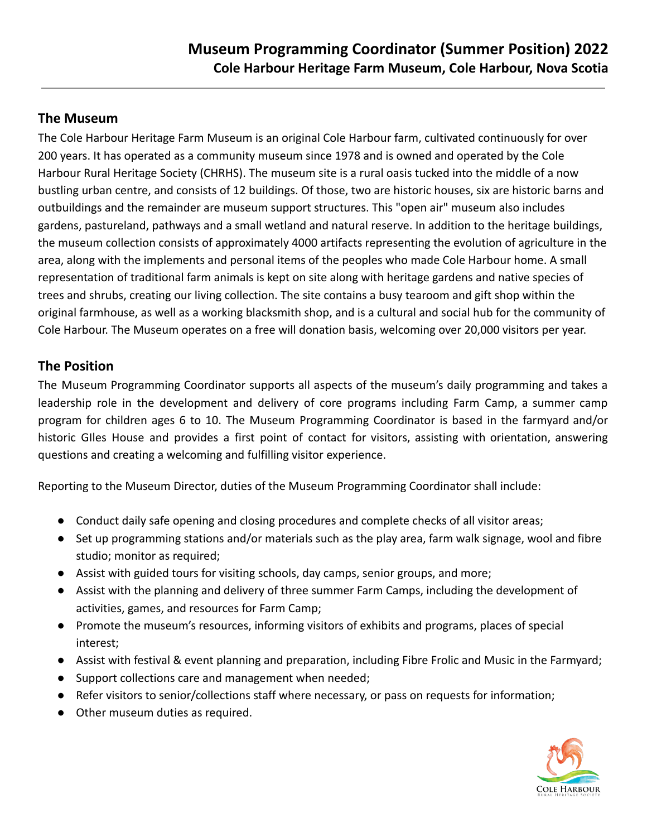## **The Museum**

The Cole Harbour Heritage Farm Museum is an original Cole Harbour farm, cultivated continuously for over 200 years. It has operated as a community museum since 1978 and is owned and operated by the Cole Harbour Rural Heritage Society (CHRHS). The museum site is a rural oasis tucked into the middle of a now bustling urban centre, and consists of 12 buildings. Of those, two are historic houses, six are historic barns and outbuildings and the remainder are museum support structures. This "open air" museum also includes gardens, pastureland, pathways and a small wetland and natural reserve. In addition to the heritage buildings, the museum collection consists of approximately 4000 artifacts representing the evolution of agriculture in the area, along with the implements and personal items of the peoples who made Cole Harbour home. A small representation of traditional farm animals is kept on site along with heritage gardens and native species of trees and shrubs, creating our living collection. The site contains a busy tearoom and gift shop within the original farmhouse, as well as a working blacksmith shop, and is a cultural and social hub for the community of Cole Harbour. The Museum operates on a free will donation basis, welcoming over 20,000 visitors per year.

## **The Position**

The Museum Programming Coordinator supports all aspects of the museum's daily programming and takes a leadership role in the development and delivery of core programs including Farm Camp, a summer camp program for children ages 6 to 10. The Museum Programming Coordinator is based in the farmyard and/or historic GIles House and provides a first point of contact for visitors, assisting with orientation, answering questions and creating a welcoming and fulfilling visitor experience.

Reporting to the Museum Director, duties of the Museum Programming Coordinator shall include:

- Conduct daily safe opening and closing procedures and complete checks of all visitor areas;
- Set up programming stations and/or materials such as the play area, farm walk signage, wool and fibre studio; monitor as required;
- Assist with guided tours for visiting schools, day camps, senior groups, and more;
- Assist with the planning and delivery of three summer Farm Camps, including the development of activities, games, and resources for Farm Camp;
- Promote the museum's resources, informing visitors of exhibits and programs, places of special interest;
- Assist with festival & event planning and preparation, including Fibre Frolic and Music in the Farmyard;
- Support collections care and management when needed;
- Refer visitors to senior/collections staff where necessary, or pass on requests for information;
- Other museum duties as required.